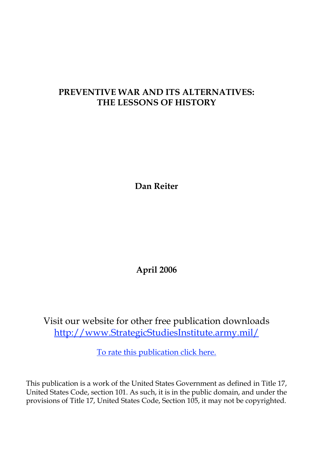# **PREVENTIVE WAR AND ITS ALTERNATIVES: THE LESSONS OF HISTORY**

**Dan Reiter**

**April 2006**

Visit our website for other free publication downloads <http://www.StrategicStudiesInstitute.army.mil>/

[To rate this publication click here](http://www.strategicstudiesinstitute.army.mil/pubs/display.cfm?pubID=651).

This publication is a work of the United States Government as defined in Title 17, United States Code, section 101. As such, it is in the public domain, and under the provisions of Title 17, United States Code, Section 105, it may not be copyrighted.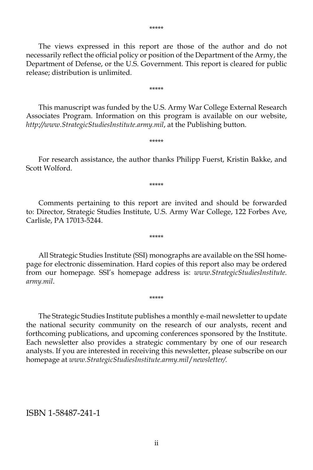The views expressed in this report are those of the author and do not necessarily reflect the official policy or position of the Department of the Army, the Department of Defense, or the U.S. Government. This report is cleared for public release; distribution is unlimited.

\*\*\*\*\*

This manuscript was funded by the U.S. Army War College External Research Associates Program. Information on this program is available on our website, *http://www.StrategicStudiesInstitute.army.mil*, at the Publishing button.

For research assistance, the author thanks Philipp Fuerst, Kristin Bakke, and Scott Wolford.

\*\*\*\*\*

\*\*\*\*\*

Comments pertaining to this report are invited and should be forwarded to: Director, Strategic Studies Institute, U.S. Army War College, 122 Forbes Ave, Carlisle, PA 17013-5244.

\*\*\*\*\*

All Strategic Studies Institute (SSI) monographs are available on the SSI homepage for electronic dissemination. Hard copies of this report also may be ordered from our homepage. SSI's homepage address is: *www.StrategicStudiesInstitute. army.mil*.

\*\*\*\*\*

The Strategic Studies Institute publishes a monthly e-mail newsletter to update the national security community on the research of our analysts, recent and forthcoming publications, and upcoming conferences sponsored by the Institute. Each newsletter also provides a strategic commentary by one of our research analysts. If you are interested in receiving this newsletter, please subscribe on our homepage at *www.StrategicStudiesInstitute.army.mil*/*newsletter/.*

ISBN 1-58487-241-1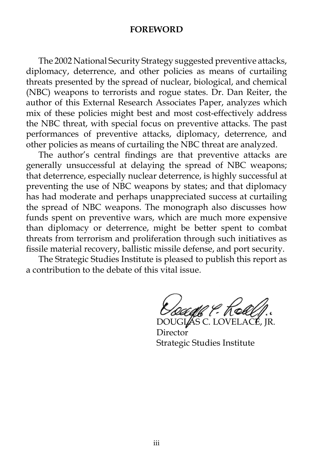#### **FOREWORD**

The 2002 National Security Strategy suggested preventive attacks, diplomacy, deterrence, and other policies as means of curtailing threats presented by the spread of nuclear, biological, and chemical (NBC) weapons to terrorists and rogue states. Dr. Dan Reiter, the author of this External Research Associates Paper, analyzes which mix of these policies might best and most cost-effectively address the NBC threat, with special focus on preventive attacks. The past performances of preventive attacks, diplomacy, deterrence, and other policies as means of curtailing the NBC threat are analyzed.

The author's central findings are that preventive attacks are generally unsuccessful at delaying the spread of NBC weapons; that deterrence, especially nuclear deterrence, is highly successful at preventing the use of NBC weapons by states; and that diplomacy has had moderate and perhaps unappreciated success at curtailing the spread of NBC weapons. The monograph also discusses how funds spent on preventive wars, which are much more expensive than diplomacy or deterrence, might be better spent to combat threats from terrorism and proliferation through such initiatives as fissile material recovery, ballistic missile defense, and port security.

The Strategic Studies Institute is pleased to publish this report as a contribution to the debate of this vital issue.

r I, Ke AS C. LOVEI

**Director** Strategic Studies Institute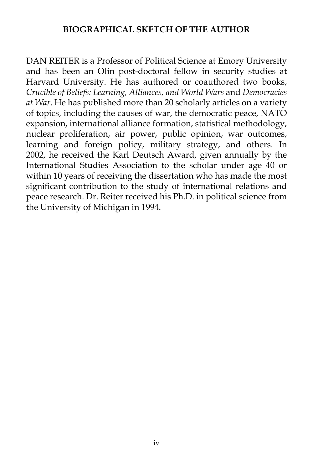## **BIOGRAPHICAL SKETCH OF THE AUTHOR**

DAN REITER is a Professor of Political Science at Emory University and has been an Olin post-doctoral fellow in security studies at Harvard University. He has authored or coauthored two books, *Crucible of Beliefs: Learning, Alliances, and World Wars* and *Democracies at War*. He has published more than 20 scholarly articles on a variety of topics, including the causes of war, the democratic peace, NATO expansion, international alliance formation, statistical methodology, nuclear proliferation, air power, public opinion, war outcomes, learning and foreign policy, military strategy, and others. In 2002, he received the Karl Deutsch Award, given annually by the International Studies Association to the scholar under age 40 or within 10 years of receiving the dissertation who has made the most significant contribution to the study of international relations and peace research. Dr. Reiter received his Ph.D. in political science from the University of Michigan in 1994.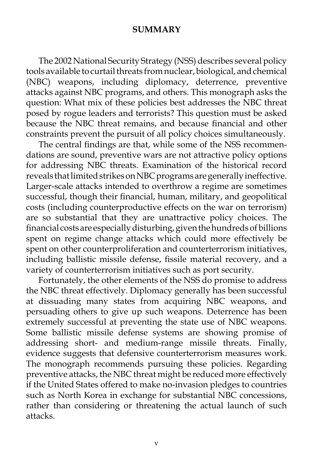### **SUMMARY**

The 2002 National Security Strategy (NSS) describes several policy tools available to curtail threats from nuclear, biological, and chemical (NBC) weapons, including diplomacy, deterrence, preventive attacks against NBC programs, and others. This monograph asks the question: What mix of these policies best addresses the NBC threat posed by rogue leaders and terrorists? This question must be asked because the NBC threat remains, and because financial and other constraints prevent the pursuit of all policy choices simultaneously.

The central findings are that, while some of the NSS recommendations are sound, preventive wars are not attractive policy options for addressing NBC threats. Examination of the historical record reveals that limited strikes on NBC programs are generally ineffective. Larger-scale attacks intended to overthrow a regime are sometimes successful, though their financial, human, military, and geopolitical costs (including counterproductive effects on the war on terrorism) are so substantial that they are unattractive policy choices. The financial costs are especially disturbing, given the hundreds of billions spent on regime change attacks which could more effectively be spent on other counterproliferation and counterterrorism initiatives, including ballistic missile defense, fissile material recovery, and a variety of counterterrorism initiatives such as port security.

Fortunately, the other elements of the NSS do promise to address the NBC threat effectively. Diplomacy generally has been successful at dissuading many states from acquiring NBC weapons, and persuading others to give up such weapons. Deterrence has been extremely successful at preventing the state use of NBC weapons. Some ballistic missile defense systems are showing promise of addressing short- and medium-range missile threats. Finally, evidence suggests that defensive counterterrorism measures work. The monograph recommends pursuing these policies. Regarding preventive attacks, the NBC threat might be reduced more effectively if the United States offered to make no-invasion pledges to countries such as North Korea in exchange for substantial NBC concessions, rather than considering or threatening the actual launch of such attacks.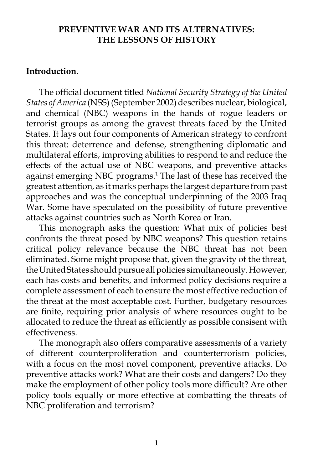#### **PREVENTIVE WAR AND ITS ALTERNATIVES: THE LESSONS OF HISTORY**

#### **Introduction.**

The official document titled *National Security Strategy of the United States of America* (NSS) (September 2002) describes nuclear, biological, and chemical (NBC) weapons in the hands of rogue leaders or terrorist groups as among the gravest threats faced by the United States. It lays out four components of American strategy to confront this threat: deterrence and defense, strengthening diplomatic and multilateral efforts, improving abilities to respond to and reduce the effects of the actual use of NBC weapons, and preventive attacks against emerging NBC programs.<sup>1</sup> The last of these has received the greatest attention, as it marks perhaps the largest departure from past approaches and was the conceptual underpinning of the 2003 Iraq War. Some have speculated on the possibility of future preventive attacks against countries such as North Korea or Iran.

This monograph asks the question: What mix of policies best confronts the threat posed by NBC weapons? This question retains critical policy relevance because the NBC threat has not been eliminated. Some might propose that, given the gravity of the threat, the United States should pursue all policies simultaneously. However, each has costs and benefits, and informed policy decisions require a complete assessment of each to ensure the most effective reduction of the threat at the most acceptable cost. Further, budgetary resources are finite, requiring prior analysis of where resources ought to be allocated to reduce the threat as efficiently as possible consisent with effectiveness.

The monograph also offers comparative assessments of a variety of different counterproliferation and counterterrorism policies, with a focus on the most novel component, preventive attacks. Do preventive attacks work? What are their costs and dangers? Do they make the employment of other policy tools more difficult? Are other policy tools equally or more effective at combatting the threats of NBC proliferation and terrorism?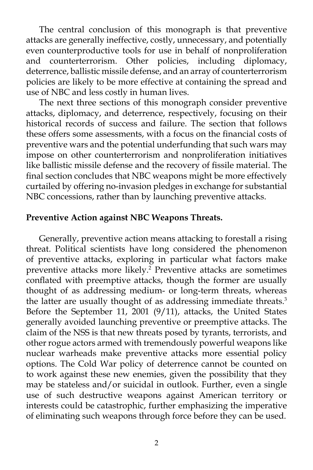The central conclusion of this monograph is that preventive attacks are generally ineffective, costly, unnecessary, and potentially even counterproductive tools for use in behalf of nonproliferation and counterterrorism. Other policies, including diplomacy, deterrence, ballistic missile defense, and an array of counterterrorism policies are likely to be more effective at containing the spread and use of NBC and less costly in human lives.

The next three sections of this monograph consider preventive attacks, diplomacy, and deterrence, respectively, focusing on their historical records of success and failure. The section that follows these offers some assessments, with a focus on the financial costs of preventive wars and the potential underfunding that such wars may impose on other counterterrorism and nonproliferation initiatives like ballistic missile defense and the recovery of fissile material. The final section concludes that NBC weapons might be more effectively curtailed by offering no-invasion pledges in exchange for substantial NBC concessions, rather than by launching preventive attacks.

#### **Preventive Action against NBC Weapons Threats.**

Generally, preventive action means attacking to forestall a rising threat. Political scientists have long considered the phenomenon of preventive attacks, exploring in particular what factors make preventive attacks more likely.2 Preventive attacks are sometimes conflated with preemptive attacks, though the former are usually thought of as addressing medium- or long-term threats, whereas the latter are usually thought of as addressing immediate threats.<sup>3</sup> Before the September 11, 2001 (9/11), attacks, the United States generally avoided launching preventive or preemptive attacks. The claim of the NSS is that new threats posed by tyrants, terrorists, and other rogue actors armed with tremendously powerful weapons like nuclear warheads make preventive attacks more essential policy options. The Cold War policy of deterrence cannot be counted on to work against these new enemies, given the possibility that they may be stateless and/or suicidal in outlook. Further, even a single use of such destructive weapons against American territory or interests could be catastrophic, further emphasizing the imperative of eliminating such weapons through force before they can be used.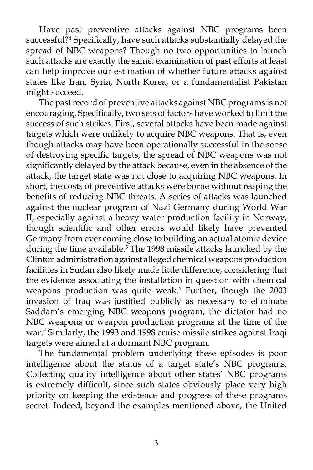Have past preventive attacks against NBC programs been successful?4 Specifically, have such attacks substantially delayed the spread of NBC weapons? Though no two opportunities to launch such attacks are exactly the same, examination of past efforts at least can help improve our estimation of whether future attacks against states like Iran, Syria, North Korea, or a fundamentalist Pakistan might succeed.

The past record of preventive attacks against NBC programs is not encouraging. Specifically, two sets of factors have worked to limit the success of such strikes. First, several attacks have been made against targets which were unlikely to acquire NBC weapons. That is, even though attacks may have been operationally successful in the sense of destroying specific targets, the spread of NBC weapons was not significantly delayed by the attack because, even in the absence of the attack, the target state was not close to acquiring NBC weapons. In short, the costs of preventive attacks were borne without reaping the benefits of reducing NBC threats. A series of attacks was launched against the nuclear program of Nazi Germany during World War II, especially against a heavy water production facility in Norway, though scientific and other errors would likely have prevented Germany from ever coming close to building an actual atomic device during the time available.<sup>5</sup> The 1998 missile attacks launched by the Clinton administration against alleged chemical weapons production facilities in Sudan also likely made little difference, considering that the evidence associating the installation in question with chemical weapons production was quite weak.<sup>6</sup> Further, though the 2003 invasion of Iraq was justified publicly as necessary to eliminate Saddam's emerging NBC weapons program, the dictator had no NBC weapons or weapon production programs at the time of the war.7 Similarly, the 1993 and 1998 cruise missile strikes against Iraqi targets were aimed at a dormant NBC program.

The fundamental problem underlying these episodes is poor intelligence about the status of a target state's NBC programs. Collecting quality intelligence about other states' NBC programs is extremely difficult, since such states obviously place very high priority on keeping the existence and progress of these programs secret. Indeed, beyond the examples mentioned above, the United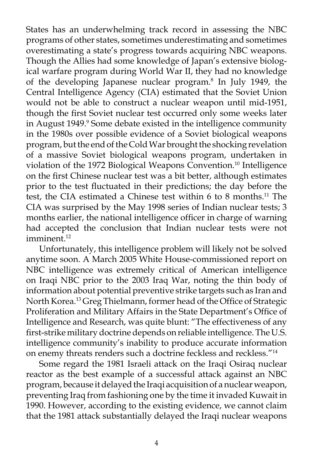States has an underwhelming track record in assessing the NBC programs of other states, sometimes underestimating and sometimes overestimating a state's progress towards acquiring NBC weapons. Though the Allies had some knowledge of Japan's extensive biological warfare program during World War II, they had no knowledge of the developing Japanese nuclear program.8 In July 1949, the Central Intelligence Agency (CIA) estimated that the Soviet Union would not be able to construct a nuclear weapon until mid-1951, though the first Soviet nuclear test occurred only some weeks later in August 1949.<sup>9</sup> Some debate existed in the intelligence community in the 1980s over possible evidence of a Soviet biological weapons program, but the end of the Cold War brought the shocking revelation of a massive Soviet biological weapons program, undertaken in violation of the 1972 Biological Weapons Convention.10 Intelligence on the first Chinese nuclear test was a bit better, although estimates prior to the test fluctuated in their predictions; the day before the test, the CIA estimated a Chinese test within 6 to 8 months.11 The CIA was surprised by the May 1998 series of Indian nuclear tests; 3 months earlier, the national intelligence officer in charge of warning had accepted the conclusion that Indian nuclear tests were not imminent.<sup>12</sup>

Unfortunately, this intelligence problem will likely not be solved anytime soon. A March 2005 White House-commissioned report on NBC intelligence was extremely critical of American intelligence on Iraqi NBC prior to the 2003 Iraq War, noting the thin body of information about potential preventive strike targets such as Iran and North Korea.<sup>13</sup> Greg Thielmann, former head of the Office of Strategic Proliferation and Military Affairs in the State Department's Office of Intelligence and Research, was quite blunt: "The effectiveness of any first-strike military doctrine depends on reliable intelligence. The U.S. intelligence community's inability to produce accurate information on enemy threats renders such a doctrine feckless and reckless."14

Some regard the 1981 Israeli attack on the Iraqi Osiraq nuclear reactor as the best example of a successful attack against an NBC program, because it delayed the Iraqi acquisition of a nuclear weapon, preventing Iraq from fashioning one by the time it invaded Kuwait in 1990. However, according to the existing evidence, we cannot claim that the 1981 attack substantially delayed the Iraqi nuclear weapons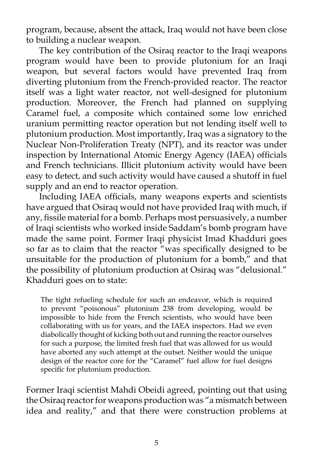program, because, absent the attack, Iraq would not have been close to building a nuclear weapon.

The key contribution of the Osiraq reactor to the Iraqi weapons program would have been to provide plutonium for an Iraqi weapon, but several factors would have prevented Iraq from diverting plutonium from the French-provided reactor. The reactor itself was a light water reactor, not well-designed for plutonium production. Moreover, the French had planned on supplying Caramel fuel, a composite which contained some low enriched uranium permitting reactor operation but not lending itself well to plutonium production. Most importantly, Iraq was a signatory to the Nuclear Non-Proliferation Treaty (NPT), and its reactor was under inspection by International Atomic Energy Agency (IAEA) officials and French technicians. Illicit plutonium activity would have been easy to detect, and such activity would have caused a shutoff in fuel supply and an end to reactor operation.

Including IAEA officials, many weapons experts and scientists have argued that Osiraq would not have provided Iraq with much, if any, fissile material for a bomb. Perhaps most persuasively, a number of Iraqi scientists who worked inside Saddam's bomb program have made the same point. Former Iraqi physicist Imad Khadduri goes so far as to claim that the reactor "was specifically designed to be unsuitable for the production of plutonium for a bomb," and that the possibility of plutonium production at Osiraq was "delusional." Khadduri goes on to state:

The tight refueling schedule for such an endeavor, which is required to prevent "poisonous" plutonium 238 from developing, would be impossible to hide from the French scientists, who would have been collaborating with us for years, and the IAEA inspectors. Had we even diabolically thought of kicking both out and running the reactor ourselves for such a purpose, the limited fresh fuel that was allowed for us would have aborted any such attempt at the outset. Neither would the unique design of the reactor core for the "Caramel" fuel allow for fuel designs specific for plutonium production.

Former Iraqi scientist Mahdi Obeidi agreed, pointing out that using the Osiraq reactor for weapons production was "a mismatch between idea and reality," and that there were construction problems at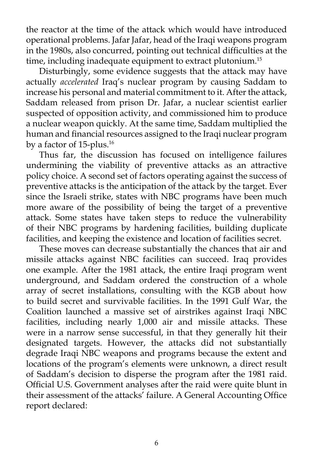the reactor at the time of the attack which would have introduced operational problems. Jafar Jafar, head of the Iraqi weapons program in the 1980s, also concurred, pointing out technical difficulties at the time, including inadequate equipment to extract plutonium.<sup>15</sup>

Disturbingly, some evidence suggests that the attack may have actually *accelerated* Iraq's nuclear program by causing Saddam to increase his personal and material commitment to it. After the attack, Saddam released from prison Dr. Jafar, a nuclear scientist earlier suspected of opposition activity, and commissioned him to produce a nuclear weapon quickly. At the same time, Saddam multiplied the human and financial resources assigned to the Iraqi nuclear program by a factor of 15-plus.<sup>16</sup>

Thus far, the discussion has focused on intelligence failures undermining the viability of preventive attacks as an attractive policy choice. A second set of factors operating against the success of preventive attacks is the anticipation of the attack by the target. Ever since the Israeli strike, states with NBC programs have been much more aware of the possibility of being the target of a preventive attack. Some states have taken steps to reduce the vulnerability of their NBC programs by hardening facilities, building duplicate facilities, and keeping the existence and location of facilities secret.

These moves can decrease substantially the chances that air and missile attacks against NBC facilities can succeed. Iraq provides one example. After the 1981 attack, the entire Iraqi program went underground, and Saddam ordered the construction of a whole array of secret installations, consulting with the KGB about how to build secret and survivable facilities. In the 1991 Gulf War, the Coalition launched a massive set of airstrikes against Iraqi NBC facilities, including nearly 1,000 air and missile attacks. These were in a narrow sense successful, in that they generally hit their designated targets. However, the attacks did not substantially degrade Iraqi NBC weapons and programs because the extent and locations of the program's elements were unknown, a direct result of Saddam's decision to disperse the program after the 1981 raid. Official U.S. Government analyses after the raid were quite blunt in their assessment of the attacks' failure. A General Accounting Office report declared: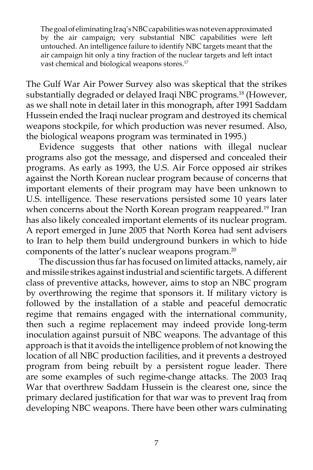The goal of eliminating Iraq's NBC capabilities was not even approximated by the air campaign; very substantial NBC capabilities were left untouched. An intelligence failure to identify NBC targets meant that the air campaign hit only a tiny fraction of the nuclear targets and left intact vast chemical and biological weapons stores.<sup>17</sup>

The Gulf War Air Power Survey also was skeptical that the strikes substantially degraded or delayed Iraqi NBC programs.<sup>18</sup> (However, as we shall note in detail later in this monograph, after 1991 Saddam Hussein ended the Iraqi nuclear program and destroyed its chemical weapons stockpile, for which production was never resumed. Also, the biological weapons program was terminated in 1995.)

Evidence suggests that other nations with illegal nuclear programs also got the message, and dispersed and concealed their programs. As early as 1993, the U.S. Air Force opposed air strikes against the North Korean nuclear program because of concerns that important elements of their program may have been unknown to U.S. intelligence. These reservations persisted some 10 years later when concerns about the North Korean program reappeared.<sup>19</sup> Iran has also likely concealed important elements of its nuclear program. A report emerged in June 2005 that North Korea had sent advisers to Iran to help them build underground bunkers in which to hide components of the latter's nuclear weapons program.20

The discussion thus far has focused on limited attacks, namely, air and missile strikes against industrial and scientific targets. A different class of preventive attacks, however, aims to stop an NBC program by overthrowing the regime that sponsors it. If military victory is followed by the installation of a stable and peaceful democratic regime that remains engaged with the international community, then such a regime replacement may indeed provide long-term inoculation against pursuit of NBC weapons. The advantage of this approach is that it avoids the intelligence problem of not knowing the location of all NBC production facilities, and it prevents a destroyed program from being rebuilt by a persistent rogue leader. There are some examples of such regime-change attacks. The 2003 Iraq War that overthrew Saddam Hussein is the clearest one, since the primary declared justification for that war was to prevent Iraq from developing NBC weapons. There have been other wars culminating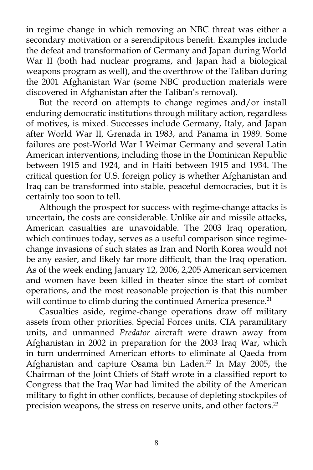in regime change in which removing an NBC threat was either a secondary motivation or a serendipitous benefit. Examples include the defeat and transformation of Germany and Japan during World War II (both had nuclear programs, and Japan had a biological weapons program as well), and the overthrow of the Taliban during the 2001 Afghanistan War (some NBC production materials were discovered in Afghanistan after the Taliban's removal).

But the record on attempts to change regimes and/or install enduring democratic institutions through military action, regardless of motives, is mixed. Successes include Germany, Italy, and Japan after World War II, Grenada in 1983, and Panama in 1989. Some failures are post-World War I Weimar Germany and several Latin American interventions, including those in the Dominican Republic between 1915 and 1924, and in Haiti between 1915 and 1934. The critical question for U.S. foreign policy is whether Afghanistan and Iraq can be transformed into stable, peaceful democracies, but it is certainly too soon to tell.

Although the prospect for success with regime-change attacks is uncertain, the costs are considerable. Unlike air and missile attacks, American casualties are unavoidable. The 2003 Iraq operation, which continues today, serves as a useful comparison since regimechange invasions of such states as Iran and North Korea would not be any easier, and likely far more difficult, than the Iraq operation. As of the week ending January 12, 2006, 2,205 American servicemen and women have been killed in theater since the start of combat operations, and the most reasonable projection is that this number will continue to climb during the continued America presence.<sup>21</sup>

Casualties aside, regime-change operations draw off military assets from other priorities. Special Forces units, CIA paramilitary units, and unmanned *Predator* aircraft were drawn away from Afghanistan in 2002 in preparation for the 2003 Iraq War, which in turn undermined American efforts to eliminate al Qaeda from Afghanistan and capture Osama bin Laden.<sup>22</sup> In May 2005, the Chairman of the Joint Chiefs of Staff wrote in a classified report to Congress that the Iraq War had limited the ability of the American military to fight in other conflicts, because of depleting stockpiles of precision weapons, the stress on reserve units, and other factors.<sup>23</sup>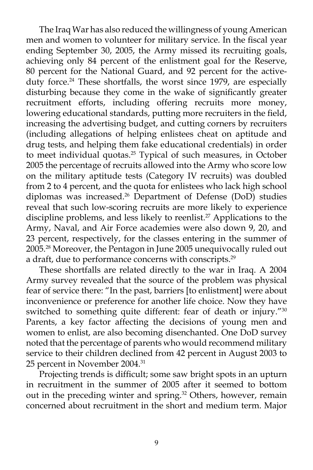The Iraq War has also reduced the willingness of young American men and women to volunteer for military service. In the fiscal year ending September 30, 2005, the Army missed its recruiting goals, achieving only 84 percent of the enlistment goal for the Reserve, 80 percent for the National Guard, and 92 percent for the activeduty force.<sup>24</sup> These shortfalls, the worst since 1979, are especially disturbing because they come in the wake of significantly greater recruitment efforts, including offering recruits more money, lowering educational standards, putting more recruiters in the field, increasing the advertising budget, and cutting corners by recruiters (including allegations of helping enlistees cheat on aptitude and drug tests, and helping them fake educational credentials) in order to meet individual quotas.<sup>25</sup> Typical of such measures, in October 2005 the percentage of recruits allowed into the Army who score low on the military aptitude tests (Category IV recruits) was doubled from 2 to 4 percent, and the quota for enlistees who lack high school diplomas was increased.<sup>26</sup> Department of Defense (DoD) studies reveal that such low-scoring recruits are more likely to experience discipline problems, and less likely to reenlist.<sup>27</sup> Applications to the Army, Naval, and Air Force academies were also down 9, 20, and 23 percent, respectively, for the classes entering in the summer of 2005.28 Moreover, the Pentagon in June 2005 unequivocally ruled out a draft, due to performance concerns with conscripts.<sup>29</sup>

These shortfalls are related directly to the war in Iraq. A 2004 Army survey revealed that the source of the problem was physical fear of service there: "In the past, barriers [to enlistment] were about inconvenience or preference for another life choice. Now they have switched to something quite different: fear of death or injury."30 Parents, a key factor affecting the decisions of young men and women to enlist, are also becoming disenchanted. One DoD survey noted that the percentage of parents who would recommend military service to their children declined from 42 percent in August 2003 to 25 percent in November 2004.31

Projecting trends is difficult; some saw bright spots in an upturn in recruitment in the summer of 2005 after it seemed to bottom out in the preceding winter and spring.<sup>32</sup> Others, however, remain concerned about recruitment in the short and medium term. Major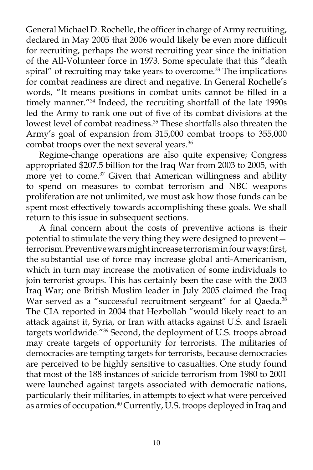General Michael D. Rochelle, the officer in charge of Army recruiting, declared in May 2005 that 2006 would likely be even more difficult for recruiting, perhaps the worst recruiting year since the initiation of the All-Volunteer force in 1973. Some speculate that this "death spiral" of recruiting may take years to overcome.<sup>33</sup> The implications for combat readiness are direct and negative. In General Rochelle's words, "It means positions in combat units cannot be filled in a timely manner.<sup>"34</sup> Indeed, the recruiting shortfall of the late 1990s led the Army to rank one out of five of its combat divisions at the lowest level of combat readiness.<sup>35</sup> These shortfalls also threaten the Army's goal of expansion from 315,000 combat troops to 355,000 combat troops over the next several years.<sup>36</sup>

Regime-change operations are also quite expensive; Congress appropriated \$207.5 billion for the Iraq War from 2003 to 2005, with more yet to come.<sup>37</sup> Given that American willingness and ability to spend on measures to combat terrorism and NBC weapons proliferation are not unlimited, we must ask how those funds can be spent most effectively towards accomplishing these goals. We shall return to this issue in subsequent sections.

A final concern about the costs of preventive actions is their potential to stimulate the very thing they were designed to prevent terrorism. Preventive wars might increase terrorism in four ways: first, the substantial use of force may increase global anti-Americanism, which in turn may increase the motivation of some individuals to join terrorist groups. This has certainly been the case with the 2003 Iraq War; one British Muslim leader in July 2005 claimed the Iraq War served as a "successful recruitment sergeant" for al Qaeda.<sup>38</sup> The CIA reported in 2004 that Hezbollah "would likely react to an attack against it, Syria, or Iran with attacks against U.S. and Israeli targets worldwide."39 Second, the deployment of U.S. troops abroad may create targets of opportunity for terrorists. The militaries of democracies are tempting targets for terrorists, because democracies are perceived to be highly sensitive to casualties. One study found that most of the 188 instances of suicide terrorism from 1980 to 2001 were launched against targets associated with democratic nations, particularly their militaries, in attempts to eject what were perceived as armies of occupation.<sup>40</sup> Currently, U.S. troops deployed in Iraq and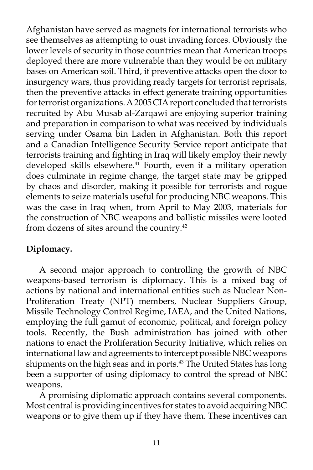Afghanistan have served as magnets for international terrorists who see themselves as attempting to oust invading forces. Obviously the lower levels of security in those countries mean that American troops deployed there are more vulnerable than they would be on military bases on American soil. Third, if preventive attacks open the door to insurgency wars, thus providing ready targets for terrorist reprisals, then the preventive attacks in effect generate training opportunities for terrorist organizations. A 2005 CIA report concluded that terrorists recruited by Abu Musab al-Zarqawi are enjoying superior training and preparation in comparison to what was received by individuals serving under Osama bin Laden in Afghanistan. Both this report and a Canadian Intelligence Security Service report anticipate that terrorists training and fighting in Iraq will likely employ their newly developed skills elsewhere.<sup>41</sup> Fourth, even if a military operation does culminate in regime change, the target state may be gripped by chaos and disorder, making it possible for terrorists and rogue elements to seize materials useful for producing NBC weapons. This was the case in Iraq when, from April to May 2003, materials for the construction of NBC weapons and ballistic missiles were looted from dozens of sites around the country.<sup>42</sup>

# **Diplomacy.**

A second major approach to controlling the growth of NBC weapons-based terrorism is diplomacy. This is a mixed bag of actions by national and international entities such as Nuclear Non-Proliferation Treaty (NPT) members, Nuclear Suppliers Group, Missile Technology Control Regime, IAEA, and the United Nations, employing the full gamut of economic, political, and foreign policy tools. Recently, the Bush administration has joined with other nations to enact the Proliferation Security Initiative, which relies on international law and agreements to intercept possible NBC weapons shipments on the high seas and in ports.<sup>43</sup> The United States has long been a supporter of using diplomacy to control the spread of NBC weapons.

A promising diplomatic approach contains several components. Most central is providing incentives for states to avoid acquiring NBC weapons or to give them up if they have them. These incentives can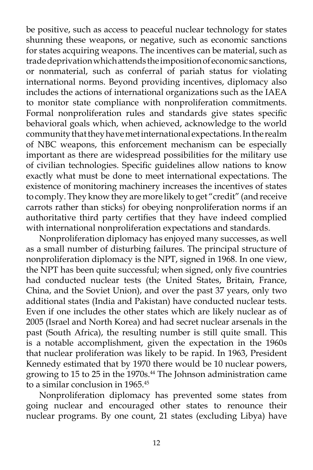be positive, such as access to peaceful nuclear technology for states shunning these weapons, or negative, such as economic sanctions for states acquiring weapons. The incentives can be material, such as trade deprivation which attends the imposition of economic sanctions, or nonmaterial, such as conferral of pariah status for violating international norms. Beyond providing incentives, diplomacy also includes the actions of international organizations such as the IAEA to monitor state compliance with nonproliferation commitments. Formal nonproliferation rules and standards give states specific behavioral goals which, when achieved, acknowledge to the world community that they have met international expectations. In the realm of NBC weapons, this enforcement mechanism can be especially important as there are widespread possibilities for the military use of civilian technologies. Specific guidelines allow nations to know exactly what must be done to meet international expectations. The existence of monitoring machinery increases the incentives of states to comply. They know they are more likely to get "credit" (and receive carrots rather than sticks) for obeying nonproliferation norms if an authoritative third party certifies that they have indeed complied with international nonproliferation expectations and standards.

Nonproliferation diplomacy has enjoyed many successes, as well as a small number of disturbing failures. The principal structure of nonproliferation diplomacy is the NPT, signed in 1968. In one view, the NPT has been quite successful; when signed, only five countries had conducted nuclear tests (the United States, Britain, France, China, and the Soviet Union), and over the past 37 years, only two additional states (India and Pakistan) have conducted nuclear tests. Even if one includes the other states which are likely nuclear as of 2005 (Israel and North Korea) and had secret nuclear arsenals in the past (South Africa), the resulting number is still quite small. This is a notable accomplishment, given the expectation in the 1960s that nuclear proliferation was likely to be rapid. In 1963, President Kennedy estimated that by 1970 there would be 10 nuclear powers, growing to 15 to 25 in the 1970s.<sup>44</sup> The Johnson administration came to a similar conclusion in 1965.<sup>45</sup>

Nonproliferation diplomacy has prevented some states from going nuclear and encouraged other states to renounce their nuclear programs. By one count, 21 states (excluding Libya) have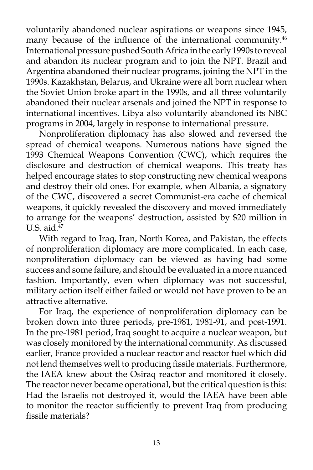voluntarily abandoned nuclear aspirations or weapons since 1945, many because of the influence of the international community.<sup>46</sup> International pressure pushed South Africa in the early 1990s to reveal and abandon its nuclear program and to join the NPT. Brazil and Argentina abandoned their nuclear programs, joining the NPT in the 1990s. Kazakhstan, Belarus, and Ukraine were all born nuclear when the Soviet Union broke apart in the 1990s, and all three voluntarily abandoned their nuclear arsenals and joined the NPT in response to international incentives. Libya also voluntarily abandoned its NBC programs in 2004, largely in response to international pressure.

Nonproliferation diplomacy has also slowed and reversed the spread of chemical weapons. Numerous nations have signed the 1993 Chemical Weapons Convention (CWC), which requires the disclosure and destruction of chemical weapons. This treaty has helped encourage states to stop constructing new chemical weapons and destroy their old ones. For example, when Albania, a signatory of the CWC, discovered a secret Communist-era cache of chemical weapons, it quickly revealed the discovery and moved immediately to arrange for the weapons' destruction, assisted by \$20 million in U.S. aid. $47$ 

With regard to Iraq, Iran, North Korea, and Pakistan, the effects of nonproliferation diplomacy are more complicated. In each case, nonproliferation diplomacy can be viewed as having had some success and some failure, and should be evaluated in a more nuanced fashion. Importantly, even when diplomacy was not successful, military action itself either failed or would not have proven to be an attractive alternative.

For Iraq, the experience of nonproliferation diplomacy can be broken down into three periods, pre-1981, 1981-91, and post-1991. In the pre-1981 period, Iraq sought to acquire a nuclear weapon, but was closely monitored by the international community. As discussed earlier, France provided a nuclear reactor and reactor fuel which did not lend themselves well to producing fissile materials. Furthermore, the IAEA knew about the Osiraq reactor and monitored it closely. The reactor never became operational, but the critical question is this: Had the Israelis not destroyed it, would the IAEA have been able to monitor the reactor sufficiently to prevent Iraq from producing fissile materials?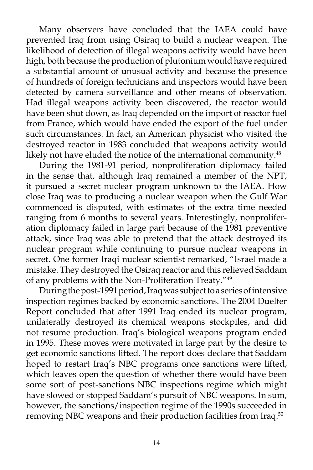Many observers have concluded that the IAEA could have prevented Iraq from using Osiraq to build a nuclear weapon. The likelihood of detection of illegal weapons activity would have been high, both because the production of plutonium would have required a substantial amount of unusual activity and because the presence of hundreds of foreign technicians and inspectors would have been detected by camera surveillance and other means of observation. Had illegal weapons activity been discovered, the reactor would have been shut down, as Iraq depended on the import of reactor fuel from France, which would have ended the export of the fuel under such circumstances. In fact, an American physicist who visited the destroyed reactor in 1983 concluded that weapons activity would likely not have eluded the notice of the international community.<sup>48</sup>

During the 1981-91 period, nonproliferation diplomacy failed in the sense that, although Iraq remained a member of the NPT, it pursued a secret nuclear program unknown to the IAEA. How close Iraq was to producing a nuclear weapon when the Gulf War commenced is disputed, with estimates of the extra time needed ranging from 6 months to several years. Interestingly, nonproliferation diplomacy failed in large part because of the 1981 preventive attack, since Iraq was able to pretend that the attack destroyed its nuclear program while continuing to pursue nuclear weapons in secret. One former Iraqi nuclear scientist remarked, "Israel made a mistake. They destroyed the Osiraq reactor and this relieved Saddam of any problems with the Non-Proliferation Treaty."49

During the post-1991 period, Iraq was subject to a series of intensive inspection regimes backed by economic sanctions. The 2004 Duelfer Report concluded that after 1991 Iraq ended its nuclear program, unilaterally destroyed its chemical weapons stockpiles, and did not resume production. Iraq's biological weapons program ended in 1995. These moves were motivated in large part by the desire to get economic sanctions lifted. The report does declare that Saddam hoped to restart Iraq's NBC programs once sanctions were lifted, which leaves open the question of whether there would have been some sort of post-sanctions NBC inspections regime which might have slowed or stopped Saddam's pursuit of NBC weapons. In sum, however, the sanctions/inspection regime of the 1990s succeeded in removing NBC weapons and their production facilities from Iraq.50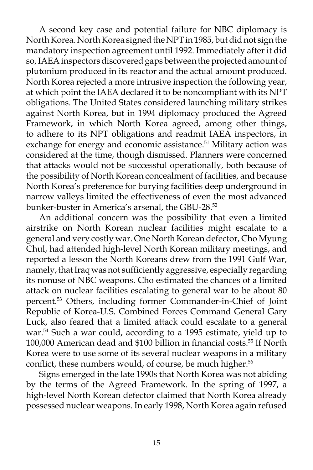A second key case and potential failure for NBC diplomacy is North Korea. North Korea signed the NPT in 1985, but did not sign the mandatory inspection agreement until 1992. Immediately after it did so, IAEA inspectors discovered gaps between the projected amount of plutonium produced in its reactor and the actual amount produced. North Korea rejected a more intrusive inspection the following year, at which point the IAEA declared it to be noncompliant with its NPT obligations. The United States considered launching military strikes against North Korea, but in 1994 diplomacy produced the Agreed Framework, in which North Korea agreed, among other things, to adhere to its NPT obligations and readmit IAEA inspectors, in exchange for energy and economic assistance.<sup>51</sup> Military action was considered at the time, though dismissed. Planners were concerned that attacks would not be successful operationally, both because of the possibility of North Korean concealment of facilities, and because North Korea's preference for burying facilities deep underground in narrow valleys limited the effectiveness of even the most advanced bunker-buster in America's arsenal, the GBU-28.<sup>52</sup>

An additional concern was the possibility that even a limited airstrike on North Korean nuclear facilities might escalate to a general and very costly war. One North Korean defector, Cho Myung Chul, had attended high-level North Korean military meetings, and reported a lesson the North Koreans drew from the 1991 Gulf War, namely, that Iraq was not sufficiently aggressive, especially regarding its nonuse of NBC weapons. Cho estimated the chances of a limited attack on nuclear facilities escalating to general war to be about 80 percent.53 Others, including former Commander-in-Chief of Joint Republic of Korea-U.S. Combined Forces Command General Gary Luck, also feared that a limited attack could escalate to a general war.<sup>54</sup> Such a war could, according to a 1995 estimate, yield up to 100,000 American dead and \$100 billion in financial costs.55 If North Korea were to use some of its several nuclear weapons in a military conflict, these numbers would, of course, be much higher.<sup>56</sup>

Signs emerged in the late 1990s that North Korea was not abiding by the terms of the Agreed Framework. In the spring of 1997, a high-level North Korean defector claimed that North Korea already possessed nuclear weapons. In early 1998, North Korea again refused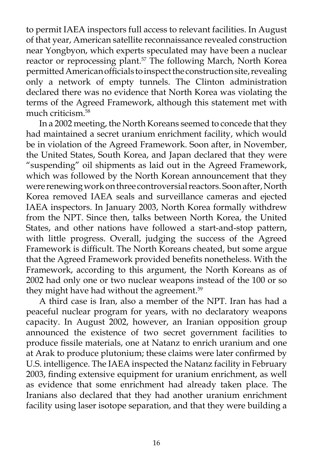to permit IAEA inspectors full access to relevant facilities. In August of that year, American satellite reconnaissance revealed construction near Yongbyon, which experts speculated may have been a nuclear reactor or reprocessing plant.<sup>57</sup> The following March, North Korea permitted American officials to inspect the construction site, revealing only a network of empty tunnels. The Clinton administration declared there was no evidence that North Korea was violating the terms of the Agreed Framework, although this statement met with much criticism<sup>58</sup>

In a 2002 meeting, the North Koreans seemed to concede that they had maintained a secret uranium enrichment facility, which would be in violation of the Agreed Framework. Soon after, in November, the United States, South Korea, and Japan declared that they were "suspending" oil shipments as laid out in the Agreed Framework, which was followed by the North Korean announcement that they were renewing work on three controversial reactors. Soon after, North Korea removed IAEA seals and surveillance cameras and ejected IAEA inspectors. In January 2003, North Korea formally withdrew from the NPT. Since then, talks between North Korea, the United States, and other nations have followed a start-and-stop pattern, with little progress. Overall, judging the success of the Agreed Framework is difficult. The North Koreans cheated, but some argue that the Agreed Framework provided benefits nonetheless. With the Framework, according to this argument, the North Koreans as of 2002 had only one or two nuclear weapons instead of the 100 or so they might have had without the agreement.<sup>59</sup>

A third case is Iran, also a member of the NPT. Iran has had a peaceful nuclear program for years, with no declaratory weapons capacity. In August 2002, however, an Iranian opposition group announced the existence of two secret government facilities to produce fissile materials, one at Natanz to enrich uranium and one at Arak to produce plutonium; these claims were later confirmed by U.S. intelligence. The IAEA inspected the Natanz facility in February 2003, finding extensive equipment for uranium enrichment, as well as evidence that some enrichment had already taken place. The Iranians also declared that they had another uranium enrichment facility using laser isotope separation, and that they were building a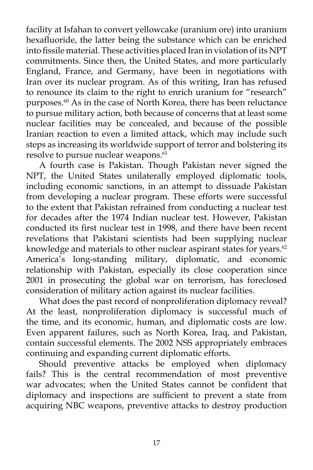facility at Isfahan to convert yellowcake (uranium ore) into uranium hexafluoride, the latter being the substance which can be enriched into fissile material. These activities placed Iran in violation of its NPT commitments. Since then, the United States, and more particularly England, France, and Germany, have been in negotiations with Iran over its nuclear program. As of this writing, Iran has refused to renounce its claim to the right to enrich uranium for "research" purposes.<sup>60</sup> As in the case of North Korea, there has been reluctance to pursue military action, both because of concerns that at least some nuclear facilities may be concealed, and because of the possible Iranian reaction to even a limited attack, which may include such steps as increasing its worldwide support of terror and bolstering its resolve to pursue nuclear weapons.<sup>61</sup>

A fourth case is Pakistan. Though Pakistan never signed the NPT, the United States unilaterally employed diplomatic tools, including economic sanctions, in an attempt to dissuade Pakistan from developing a nuclear program. These efforts were successful to the extent that Pakistan refrained from conducting a nuclear test for decades after the 1974 Indian nuclear test. However, Pakistan conducted its first nuclear test in 1998, and there have been recent revelations that Pakistani scientists had been supplying nuclear knowledge and materials to other nuclear aspirant states for years.<sup>62</sup> America's long-standing military, diplomatic, and economic relationship with Pakistan, especially its close cooperation since 2001 in prosecuting the global war on terrorism, has foreclosed consideration of military action against its nuclear facilities.

What does the past record of nonproliferation diplomacy reveal? At the least, nonproliferation diplomacy is successful much of the time, and its economic, human, and diplomatic costs are low. Even apparent failures, such as North Korea, Iraq, and Pakistan, contain successful elements. The 2002 NSS appropriately embraces continuing and expanding current diplomatic efforts.

Should preventive attacks be employed when diplomacy fails? This is the central recommendation of most preventive war advocates; when the United States cannot be confident that diplomacy and inspections are sufficient to prevent a state from acquiring NBC weapons, preventive attacks to destroy production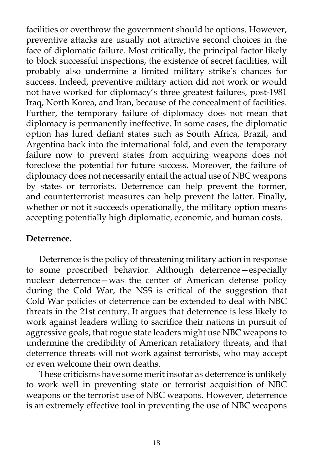facilities or overthrow the government should be options. However, preventive attacks are usually not attractive second choices in the face of diplomatic failure. Most critically, the principal factor likely to block successful inspections, the existence of secret facilities, will probably also undermine a limited military strike's chances for success. Indeed, preventive military action did not work or would not have worked for diplomacy's three greatest failures, post-1981 Iraq, North Korea, and Iran, because of the concealment of facilities. Further, the temporary failure of diplomacy does not mean that diplomacy is permanently ineffective. In some cases, the diplomatic option has lured defiant states such as South Africa, Brazil, and Argentina back into the international fold, and even the temporary failure now to prevent states from acquiring weapons does not foreclose the potential for future success. Moreover, the failure of diplomacy does not necessarily entail the actual use of NBC weapons by states or terrorists. Deterrence can help prevent the former, and counterterrorist measures can help prevent the latter. Finally, whether or not it succeeds operationally, the military option means accepting potentially high diplomatic, economic, and human costs.

## **Deterrence.**

Deterrence is the policy of threatening military action in response to some proscribed behavior. Although deterrence—especially nuclear deterrence—was the center of American defense policy during the Cold War, the NSS is critical of the suggestion that Cold War policies of deterrence can be extended to deal with NBC threats in the 21st century. It argues that deterrence is less likely to work against leaders willing to sacrifice their nations in pursuit of aggressive goals, that rogue state leaders might use NBC weapons to undermine the credibility of American retaliatory threats, and that deterrence threats will not work against terrorists, who may accept or even welcome their own deaths.

These criticisms have some merit insofar as deterrence is unlikely to work well in preventing state or terrorist acquisition of NBC weapons or the terrorist use of NBC weapons. However, deterrence is an extremely effective tool in preventing the use of NBC weapons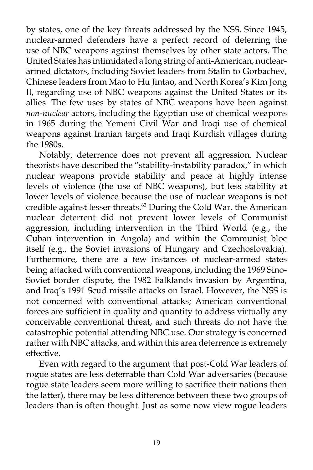by states, one of the key threats addressed by the NSS. Since 1945, nuclear-armed defenders have a perfect record of deterring the use of NBC weapons against themselves by other state actors. The United States has intimidated a long string of anti-American, nucleararmed dictators, including Soviet leaders from Stalin to Gorbachev, Chinese leaders from Mao to Hu Jintao, and North Korea's Kim Jong Il, regarding use of NBC weapons against the United States or its allies. The few uses by states of NBC weapons have been against *non-nuclear* actors, including the Egyptian use of chemical weapons in 1965 during the Yemeni Civil War and Iraqi use of chemical weapons against Iranian targets and Iraqi Kurdish villages during the 1980s.

Notably, deterrence does not prevent all aggression. Nuclear theorists have described the "stability-instability paradox," in which nuclear weapons provide stability and peace at highly intense levels of violence (the use of NBC weapons), but less stability at lower levels of violence because the use of nuclear weapons is not credible against lesser threats.<sup>63</sup> During the Cold War, the American nuclear deterrent did not prevent lower levels of Communist aggression, including intervention in the Third World (e.g., the Cuban intervention in Angola) and within the Communist bloc itself (e.g., the Soviet invasions of Hungary and Czechoslovakia). Furthermore, there are a few instances of nuclear-armed states being attacked with conventional weapons, including the 1969 Sino-Soviet border dispute, the 1982 Falklands invasion by Argentina, and Iraq's 1991 Scud missile attacks on Israel. However, the NSS is not concerned with conventional attacks; American conventional forces are sufficient in quality and quantity to address virtually any conceivable conventional threat, and such threats do not have the catastrophic potential attending NBC use. Our strategy is concerned rather with NBC attacks, and within this area deterrence is extremely effective.

Even with regard to the argument that post-Cold War leaders of rogue states are less deterrable than Cold War adversaries (because rogue state leaders seem more willing to sacrifice their nations then the latter), there may be less difference between these two groups of leaders than is often thought. Just as some now view rogue leaders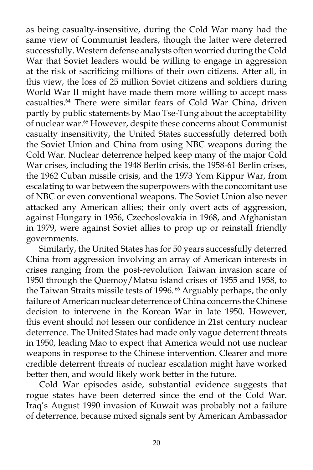as being casualty-insensitive, during the Cold War many had the same view of Communist leaders, though the latter were deterred successfully. Western defense analysts often worried during the Cold War that Soviet leaders would be willing to engage in aggression at the risk of sacrificing millions of their own citizens. After all, in this view, the loss of 25 million Soviet citizens and soldiers during World War II might have made them more willing to accept mass casualties.64 There were similar fears of Cold War China, driven partly by public statements by Mao Tse-Tung about the acceptability of nuclear war.<sup>65</sup> However, despite these concerns about Communist casualty insensitivity, the United States successfully deterred both the Soviet Union and China from using NBC weapons during the Cold War. Nuclear deterrence helped keep many of the major Cold War crises, including the 1948 Berlin crisis, the 1958-61 Berlin crises, the 1962 Cuban missile crisis, and the 1973 Yom Kippur War, from escalating to war between the superpowers with the concomitant use of NBC or even conventional weapons. The Soviet Union also never attacked any American allies; their only overt acts of aggression, against Hungary in 1956, Czechoslovakia in 1968, and Afghanistan in 1979, were against Soviet allies to prop up or reinstall friendly governments.

Similarly, the United States has for 50 years successfully deterred China from aggression involving an array of American interests in crises ranging from the post-revolution Taiwan invasion scare of 1950 through the Quemoy/Matsu island crises of 1955 and 1958, to the Taiwan Straits missile tests of 1996.<sup>66</sup> Arguably perhaps, the only failure of American nuclear deterrence of China concerns the Chinese decision to intervene in the Korean War in late 1950. However, this event should not lessen our confidence in 21st century nuclear deterrence. The United States had made only vague deterrent threats in 1950, leading Mao to expect that America would not use nuclear weapons in response to the Chinese intervention. Clearer and more credible deterrent threats of nuclear escalation might have worked better then, and would likely work better in the future.

Cold War episodes aside, substantial evidence suggests that rogue states have been deterred since the end of the Cold War. Iraq's August 1990 invasion of Kuwait was probably not a failure of deterrence, because mixed signals sent by American Ambassador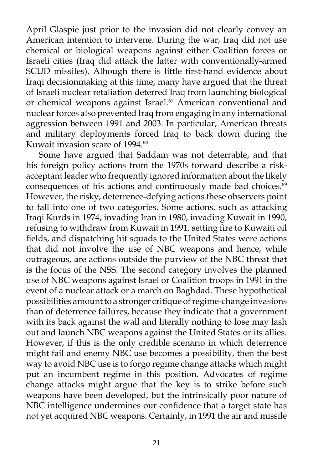April Glaspie just prior to the invasion did not clearly convey an American intention to intervene. During the war, Iraq did not use chemical or biological weapons against either Coalition forces or Israeli cities (Iraq did attack the latter with conventionally-armed SCUD missiles). Alhough there is little first-hand evidence about Iraqi decisionmaking at this time, many have argued that the threat of Israeli nuclear retaliation deterred Iraq from launching biological or chemical weapons against Israel.<sup>67</sup> American conventional and nuclear forces also prevented Iraq from engaging in any international aggression between 1991 and 2003. In particular, American threats and military deployments forced Iraq to back down during the Kuwait invasion scare of 1994.<sup>68</sup>

Some have argued that Saddam was not deterrable, and that his foreign policy actions from the 1970s forward describe a riskacceptant leader who frequently ignored information about the likely consequences of his actions and continuously made bad choices.<sup>69</sup> However, the risky, deterrence-defying actions these observers point to fall into one of two categories. Some actions, such as attacking Iraqi Kurds in 1974, invading Iran in 1980, invading Kuwait in 1990, refusing to withdraw from Kuwait in 1991, setting fire to Kuwaiti oil fields, and dispatching hit squads to the United States were actions that did not involve the use of NBC weapons and hence, while outrageous, are actions outside the purview of the NBC threat that is the focus of the NSS. The second category involves the planned use of NBC weapons against Israel or Coalition troops in 1991 in the event of a nuclear attack or a march on Baghdad. These hypothetical possibilities amount to a stronger critique of regime-change invasions than of deterrence failures, because they indicate that a government with its back against the wall and literally nothing to lose may lash out and launch NBC weapons against the United States or its allies. However, if this is the only credible scenario in which deterrence might fail and enemy NBC use becomes a possibility, then the best way to avoid NBC use is to forgo regime change attacks which might put an incumbent regime in this position. Advocates of regime change attacks might argue that the key is to strike before such weapons have been developed, but the intrinsically poor nature of NBC intelligence undermines our confidence that a target state has not yet acquired NBC weapons. Certainly, in 1991 the air and missile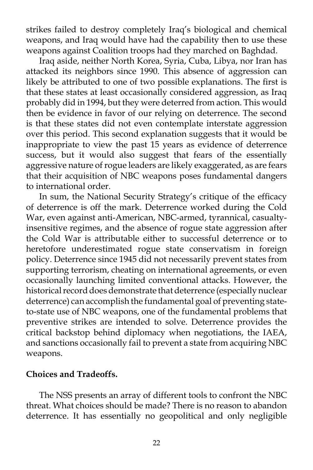strikes failed to destroy completely Iraq's biological and chemical weapons, and Iraq would have had the capability then to use these weapons against Coalition troops had they marched on Baghdad.

Iraq aside, neither North Korea, Syria, Cuba, Libya, nor Iran has attacked its neighbors since 1990. This absence of aggression can likely be attributed to one of two possible explanations. The first is that these states at least occasionally considered aggression, as Iraq probably did in 1994, but they were deterred from action. This would then be evidence in favor of our relying on deterrence. The second is that these states did not even contemplate interstate aggression over this period. This second explanation suggests that it would be inappropriate to view the past 15 years as evidence of deterrence success, but it would also suggest that fears of the essentially aggressive nature of rogue leaders are likely exaggerated, as are fears that their acquisition of NBC weapons poses fundamental dangers to international order.

In sum, the National Security Strategy's critique of the efficacy of deterrence is off the mark. Deterrence worked during the Cold War, even against anti-American, NBC-armed, tyrannical, casualtyinsensitive regimes, and the absence of rogue state aggression after the Cold War is attributable either to successful deterrence or to heretofore underestimated rogue state conservatism in foreign policy. Deterrence since 1945 did not necessarily prevent states from supporting terrorism, cheating on international agreements, or even occasionally launching limited conventional attacks. However, the historical record does demonstrate that deterrence (especially nuclear deterrence) can accomplish the fundamental goal of preventing stateto-state use of NBC weapons, one of the fundamental problems that preventive strikes are intended to solve. Deterrence provides the critical backstop behind diplomacy when negotiations, the IAEA, and sanctions occasionally fail to prevent a state from acquiring NBC weapons.

#### **Choices and Tradeoffs.**

The NSS presents an array of different tools to confront the NBC threat. What choices should be made? There is no reason to abandon deterrence. It has essentially no geopolitical and only negligible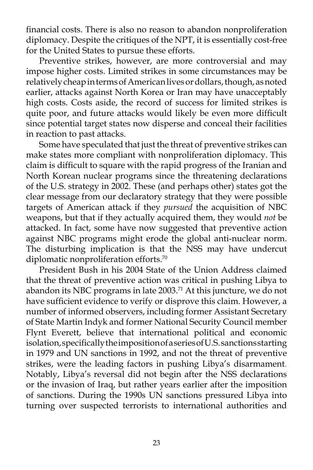financial costs. There is also no reason to abandon nonproliferation diplomacy. Despite the critiques of the NPT, it is essentially cost-free for the United States to pursue these efforts.

Preventive strikes, however, are more controversial and may impose higher costs. Limited strikes in some circumstances may be relatively cheap in terms of American lives or dollars, though, as noted earlier, attacks against North Korea or Iran may have unacceptably high costs. Costs aside, the record of success for limited strikes is quite poor, and future attacks would likely be even more difficult since potential target states now disperse and conceal their facilities in reaction to past attacks.

Some have speculated that just the threat of preventive strikes can make states more compliant with nonproliferation diplomacy. This claim is difficult to square with the rapid progress of the Iranian and North Korean nuclear programs since the threatening declarations of the U.S. strategy in 2002. These (and perhaps other) states got the clear message from our declaratory strategy that they were possible targets of American attack if they *pursued* the acquisition of NBC weapons, but that if they actually acquired them, they would *not* be attacked. In fact, some have now suggested that preventive action against NBC programs might erode the global anti-nuclear norm. The disturbing implication is that the NSS may have undercut diplomatic nonproliferation efforts.<sup>70</sup>

President Bush in his 2004 State of the Union Address claimed that the threat of preventive action was critical in pushing Libya to abandon its NBC programs in late 2003.<sup>71</sup> At this juncture, we do not have sufficient evidence to verify or disprove this claim. However, a number of informed observers, including former Assistant Secretary of State Martin Indyk and former National Security Council member Flynt Everett, believe that international political and economic isolation, specifically the imposition of a series of U.S. sanctions starting in 1979 and UN sanctions in 1992, and not the threat of preventive strikes, were the leading factors in pushing Libya's disarmament. Notably, Libya's reversal did not begin after the NSS declarations or the invasion of Iraq, but rather years earlier after the imposition of sanctions. During the 1990s UN sanctions pressured Libya into turning over suspected terrorists to international authorities and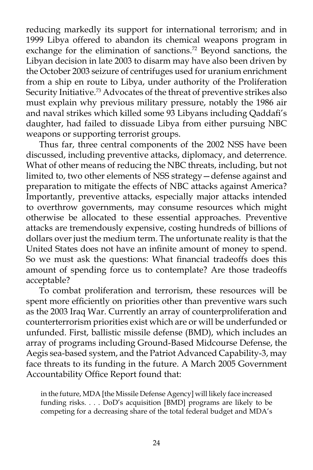reducing markedly its support for international terrorism; and in 1999 Libya offered to abandon its chemical weapons program in exchange for the elimination of sanctions.<sup>72</sup> Beyond sanctions, the Libyan decision in late 2003 to disarm may have also been driven by the October 2003 seizure of centrifuges used for uranium enrichment from a ship en route to Libya, under authority of the Proliferation Security Initiative.<sup>73</sup> Advocates of the threat of preventive strikes also must explain why previous military pressure, notably the 1986 air and naval strikes which killed some 93 Libyans including Qaddafi's daughter, had failed to dissuade Libya from either pursuing NBC weapons or supporting terrorist groups.

Thus far, three central components of the 2002 NSS have been discussed, including preventive attacks, diplomacy, and deterrence. What of other means of reducing the NBC threats, including, but not limited to, two other elements of NSS strategy—defense against and preparation to mitigate the effects of NBC attacks against America? Importantly, preventive attacks, especially major attacks intended to overthrow governments, may consume resources which might otherwise be allocated to these essential approaches. Preventive attacks are tremendously expensive, costing hundreds of billions of dollars over just the medium term. The unfortunate reality is that the United States does not have an infinite amount of money to spend. So we must ask the questions: What financial tradeoffs does this amount of spending force us to contemplate? Are those tradeoffs acceptable?

To combat proliferation and terrorism, these resources will be spent more efficiently on priorities other than preventive wars such as the 2003 Iraq War. Currently an array of counterproliferation and counterterrorism priorities exist which are or will be underfunded or unfunded. First, ballistic missile defense (BMD), which includes an array of programs including Ground-Based Midcourse Defense, the Aegis sea-based system, and the Patriot Advanced Capability-3, may face threats to its funding in the future. A March 2005 Government Accountability Office Report found that:

in the future, MDA [the Missile Defense Agency] will likely face increased funding risks. . . . DoD's acquisition [BMD] programs are likely to be competing for a decreasing share of the total federal budget and MDA's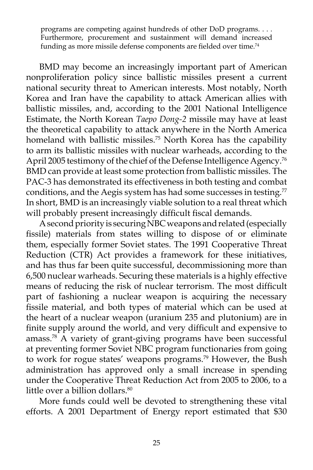programs are competing against hundreds of other DoD programs. . . . Furthermore, procurement and sustainment will demand increased funding as more missile defense components are fielded over time.<sup>74</sup>

BMD may become an increasingly important part of American nonproliferation policy since ballistic missiles present a current national security threat to American interests. Most notably, North Korea and Iran have the capability to attack American allies with ballistic missiles, and, according to the 2001 National Intelligence Estimate, the North Korean *Taepo Dong-2* missile may have at least the theoretical capability to attack anywhere in the North America homeland with ballistic missiles.<sup>75</sup> North Korea has the capability to arm its ballistic missiles with nuclear warheads, according to the April 2005 testimony of the chief of the Defense Intelligence Agency.<sup>76</sup> BMD can provide at least some protection from ballistic missiles. The PAC-3 has demonstrated its effectiveness in both testing and combat conditions, and the Aegis system has had some successes in testing. $77$ In short, BMD is an increasingly viable solution to a real threat which will probably present increasingly difficult fiscal demands.

A second priority is securing NBC weapons and related (especially fissile) materials from states willing to dispose of or eliminate them, especially former Soviet states. The 1991 Cooperative Threat Reduction (CTR) Act provides a framework for these initiatives, and has thus far been quite successful, decommissioning more than 6,500 nuclear warheads. Securing these materials is a highly effective means of reducing the risk of nuclear terrorism. The most difficult part of fashioning a nuclear weapon is acquiring the necessary fissile material, and both types of material which can be used at the heart of a nuclear weapon (uranium 235 and plutonium) are in finite supply around the world, and very difficult and expensive to amass.78 A variety of grant-giving programs have been successful at preventing former Soviet NBC program functionaries from going to work for rogue states' weapons programs.<sup>79</sup> However, the Bush administration has approved only a small increase in spending under the Cooperative Threat Reduction Act from 2005 to 2006, to a little over a billion dollars.<sup>80</sup>

More funds could well be devoted to strengthening these vital efforts. A 2001 Department of Energy report estimated that \$30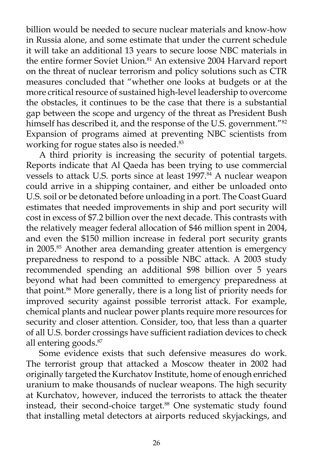billion would be needed to secure nuclear materials and know-how in Russia alone, and some estimate that under the current schedule it will take an additional 13 years to secure loose NBC materials in the entire former Soviet Union.<sup>81</sup> An extensive 2004 Harvard report on the threat of nuclear terrorism and policy solutions such as CTR measures concluded that "whether one looks at budgets or at the more critical resource of sustained high-level leadership to overcome the obstacles, it continues to be the case that there is a substantial gap between the scope and urgency of the threat as President Bush himself has described it, and the response of the U.S. government.<sup>"82</sup> Expansion of programs aimed at preventing NBC scientists from working for rogue states also is needed.<sup>83</sup>

A third priority is increasing the security of potential targets. Reports indicate that Al Qaeda has been trying to use commercial vessels to attack U.S. ports since at least 1997.<sup>84</sup> A nuclear weapon could arrive in a shipping container, and either be unloaded onto U.S. soil or be detonated before unloading in a port. The Coast Guard estimates that needed improvements in ship and port security will cost in excess of \$7.2 billion over the next decade. This contrasts with the relatively meager federal allocation of \$46 million spent in 2004, and even the \$150 million increase in federal port security grants in 2005.<sup>85</sup> Another area demanding greater attention is emergency preparedness to respond to a possible NBC attack. A 2003 study recommended spending an additional \$98 billion over 5 years beyond what had been committed to emergency preparedness at that point.86 More generally, there is a long list of priority needs for improved security against possible terrorist attack. For example, chemical plants and nuclear power plants require more resources for security and closer attention. Consider, too, that less than a quarter of all U.S. border crossings have sufficient radiation devices to check all entering goods.87

Some evidence exists that such defensive measures do work. The terrorist group that attacked a Moscow theater in 2002 had originally targeted the Kurchatov Institute, home of enough enriched uranium to make thousands of nuclear weapons. The high security at Kurchatov, however, induced the terrorists to attack the theater instead, their second-choice target.<sup>88</sup> One systematic study found that installing metal detectors at airports reduced skyjackings, and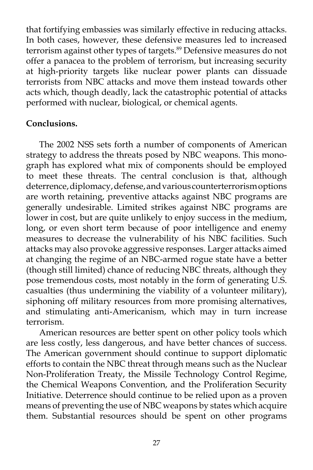that fortifying embassies was similarly effective in reducing attacks. In both cases, however, these defensive measures led to increased terrorism against other types of targets.<sup>89</sup> Defensive measures do not offer a panacea to the problem of terrorism, but increasing security at high-priority targets like nuclear power plants can dissuade terrorists from NBC attacks and move them instead towards other acts which, though deadly, lack the catastrophic potential of attacks performed with nuclear, biological, or chemical agents.

# **Conclusions.**

The 2002 NSS sets forth a number of components of American strategy to address the threats posed by NBC weapons. This monograph has explored what mix of components should be employed to meet these threats. The central conclusion is that, although deterrence, diplomacy, defense, and various counterterrorism options are worth retaining, preventive attacks against NBC programs are generally undesirable. Limited strikes against NBC programs are lower in cost, but are quite unlikely to enjoy success in the medium, long, or even short term because of poor intelligence and enemy measures to decrease the vulnerability of his NBC facilities. Such attacks may also provoke aggressive responses. Larger attacks aimed at changing the regime of an NBC-armed rogue state have a better (though still limited) chance of reducing NBC threats, although they pose tremendous costs, most notably in the form of generating U.S. casualties (thus undermining the viability of a volunteer military), siphoning off military resources from more promising alternatives, and stimulating anti-Americanism, which may in turn increase terrorism.

American resources are better spent on other policy tools which are less costly, less dangerous, and have better chances of success. The American government should continue to support diplomatic efforts to contain the NBC threat through means such as the Nuclear Non-Proliferation Treaty, the Missile Technology Control Regime, the Chemical Weapons Convention, and the Proliferation Security Initiative. Deterrence should continue to be relied upon as a proven means of preventing the use of NBC weapons by states which acquire them. Substantial resources should be spent on other programs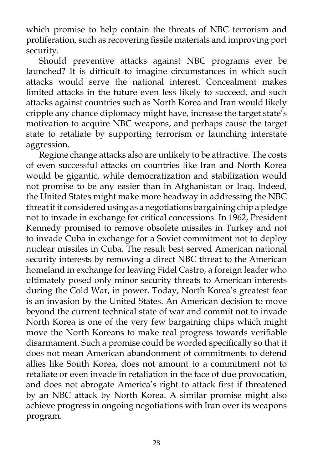which promise to help contain the threats of NBC terrorism and proliferation, such as recovering fissile materials and improving port security.

Should preventive attacks against NBC programs ever be launched? It is difficult to imagine circumstances in which such attacks would serve the national interest. Concealment makes limited attacks in the future even less likely to succeed, and such attacks against countries such as North Korea and Iran would likely cripple any chance diplomacy might have, increase the target state's motivation to acquire NBC weapons, and perhaps cause the target state to retaliate by supporting terrorism or launching interstate aggression.

Regime change attacks also are unlikely to be attractive. The costs of even successful attacks on countries like Iran and North Korea would be gigantic, while democratization and stabilization would not promise to be any easier than in Afghanistan or Iraq. Indeed, the United States might make more headway in addressing the NBC threat if it considered using as a negotiations bargaining chip a pledge not to invade in exchange for critical concessions. In 1962, President Kennedy promised to remove obsolete missiles in Turkey and not to invade Cuba in exchange for a Soviet commitment not to deploy nuclear missiles in Cuba. The result best served American national security interests by removing a direct NBC threat to the American homeland in exchange for leaving Fidel Castro, a foreign leader who ultimately posed only minor security threats to American interests during the Cold War, in power. Today, North Korea's greatest fear is an invasion by the United States. An American decision to move beyond the current technical state of war and commit not to invade North Korea is one of the very few bargaining chips which might move the North Koreans to make real progress towards verifiable disarmament. Such a promise could be worded specifically so that it does not mean American abandonment of commitments to defend allies like South Korea, does not amount to a commitment not to retaliate or even invade in retaliation in the face of due provocation, and does not abrogate America's right to attack first if threatened by an NBC attack by North Korea. A similar promise might also achieve progress in ongoing negotiations with Iran over its weapons program.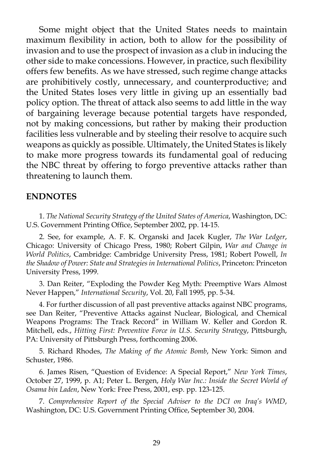Some might object that the United States needs to maintain maximum flexibility in action, both to allow for the possibility of invasion and to use the prospect of invasion as a club in inducing the other side to make concessions. However, in practice, such flexibility offers few benefits. As we have stressed, such regime change attacks are prohibitively costly, unnecessary, and counterproductive; and the United States loses very little in giving up an essentially bad policy option. The threat of attack also seems to add little in the way of bargaining leverage because potential targets have responded, not by making concessions, but rather by making their production facilities less vulnerable and by steeling their resolve to acquire such weapons as quickly as possible. Ultimately, the United States is likely to make more progress towards its fundamental goal of reducing the NBC threat by offering to forgo preventive attacks rather than threatening to launch them.

#### **ENDNOTES**

1. *The National Security Strategy of the United States of America*, Washington, DC: U.S. Government Printing Office, September 2002, pp. 14-15.

2. See, for example, A. F. K. Organski and Jacek Kugler, *The War Ledger*, Chicago: University of Chicago Press, 1980; Robert Gilpin, *War and Change in World Politics*, Cambridge: Cambridge University Press, 1981; Robert Powell, *In the Shadow of Power: State and Strategies in International Politics*, Princeton: Princeton University Press, 1999.

3. Dan Reiter, "Exploding the Powder Keg Myth: Preemptive Wars Almost Never Happen," *International Security*, Vol. 20, Fall 1995, pp. 5-34.

4. For further discussion of all past preventive attacks against NBC programs, see Dan Reiter, "Preventive Attacks against Nuclear, Biological, and Chemical Weapons Programs: The Track Record" in William W. Keller and Gordon R. Mitchell, eds., *Hitting First: Preventive Force in U.S. Security Strategy*, Pittsburgh, PA: University of Pittsburgh Press, forthcoming 2006.

5. Richard Rhodes, *The Making of the Atomic Bomb*, New York: Simon and Schuster, 1986.

6. James Risen, "Question of Evidence: A Special Report," *New York Times*, October 27, 1999, p. A1; Peter L. Bergen, *Holy War Inc.: Inside the Secret World of Osama bin Laden*, New York: Free Press, 2001, esp. pp. 123-125.

7. *Comprehensive Report of the Special Adviser to the DCI on Iraq's WMD*, Washington, DC: U.S. Government Printing Office, September 30, 2004.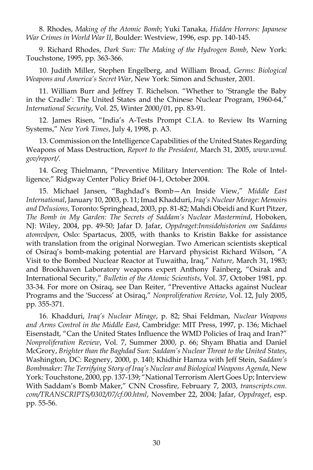8. Rhodes, *Making of the Atomic Bomb*; Yuki Tanaka, *Hidden Horrors: Japanese War Crimes in World War II*, Boulder: Westview, 1996, esp. pp. 140-145.

9. Richard Rhodes, *Dark Sun: The Making of the Hydrogen Bomb*, New York: Touchstone, 1995, pp. 363-366.

10. Judith Miller, Stephen Engelberg, and William Broad, *Germs: Biological Weapons and America's Secret War*, New York: Simon and Schuster, 2001.

11. William Burr and Jeffrey T. Richelson. "Whether to 'Strangle the Baby in the Cradle': The United States and the Chinese Nuclear Program, 1960-64," *International Security*, Vol. 25, Winter 2000/01, pp. 83-91.

12. James Risen, "India's A-Tests Prompt C.I.A. to Review Its Warning Systems," *New York Times*, July 4, 1998, p. A3.

13. Commission on the Intelligence Capabilities of the United States Regarding Weapons of Mass Destruction, *Report to the President*, March 31, 2005, *www.wmd. gov/report/*.

14. Greg Thielmann, "Preventive Military Intervention: The Role of Intelligence," Ridgway Center Policy Brief 04-1, October 2004.

15. Michael Jansen, "Baghdad's Bomb—An Inside View," *Middle East International*, January 10, 2003, p. 11; Imad Khadduri, *Iraq's Nuclear Mirage: Memoirs and Delusions,* Toronto: Springhead, 2003, pp. 81-82; Mahdi Obeidi and Kurt Pitzer, *The Bomb in My Garden: The Secrets of Saddam's Nuclear Mastermind*, Hoboken, NJ: Wiley, 2004, pp. 49-50; Jafar D. Jafar, *Oppdraget:Innsidehistorien om Saddams atomvåpen*, Oslo: Spartacus, 2005, with thanks to Kristin Bakke for assistance with translation from the original Norwegian. Two American scientists skeptical of Osiraq's bomb-making potential are Harvard physicist Richard Wilson, "A Visit to the Bombed Nuclear Reactor at Tuwaitha, Iraq," *Nature*, March 31, 1983; and Brookhaven Laboratory weapons expert Anthony Fainberg, "Osirak and International Security," *Bulletin of the Atomic Scientists*, Vol. 37, October 1981, pp. 33-34. For more on Osiraq, see Dan Reiter, "Preventive Attacks against Nuclear Programs and the 'Success' at Osiraq," *Nonproliferation Review*, Vol. 12, July 2005, pp. 355-371.

16. Khadduri, *Iraq's Nuclear Mirage*, p. 82; Shai Feldman, *Nuclear Weapons and Arms Control in the Middle East*, Cambridge: MIT Press, 1997, p. 136; Michael Eisenstadt, "Can the United States Influence the WMD Policies of Iraq and Iran?" *Nonproliferation Review*, Vol. 7, Summer 2000, p. 66; Shyam Bhatia and Daniel McGrory, *Brighter than the Baghdad Sun: Saddam's Nuclear Threat to the United States*, Washington, DC: Regnery, 2000, p. 140; Khidhir Hamza with Jeff Stein, *Saddam's Bombmaker: The Terrifying Story of Iraq's Nuclear and Biological Weapons Agenda*, New York: Touchstone, 2000, pp. 137-139; "National Terrorism Alert Goes Up; Interview With Saddam's Bomb Maker," CNN Crossfire, February 7, 2003, *transcripts.cnn. com/TRANSCRIPTS/0302/07/cf.00.html*, November 22, 2004; Jafar, *Oppdraget*, esp. pp. 55-56.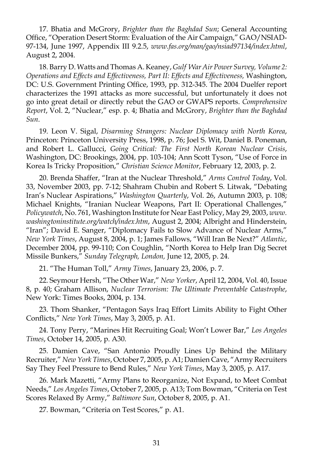17. Bhatia and McGrory, *Brighter than the Baghdad Sun*; General Accounting Office, "Operation Desert Storm: Evaluation of the Air Campaign," GAO/NSIAD-97-134, June 1997, Appendix III 9.2.5, *www.fas.org/man/gao/nsiad97134/index.html*, August 2, 2004.

18. Barry D. Watts and Thomas A. Keaney, *Gulf War Air Power Survey, Volume 2: Operations and Effects and Effectiveness, Part II: Effects and Effectiveness,* Washington, DC: U.S. Government Printing Office, 1993, pp. 312-345. The 2004 Duelfer report characterizes the 1991 attacks as more successful, but unfortunately it does not go into great detail or directly rebut the GAO or GWAPS reports. *Comprehensive Report*, Vol. 2, "Nuclear," esp. p. 4; Bhatia and McGrory, *Brighter than the Baghdad Sun*.

19. Leon V. Sigal, *Disarming Strangers: Nuclear Diplomacy with North Korea*, Princeton: Princeton University Press, 1998, p. 76; Joel S. Wit, Daniel B. Poneman, and Robert L. Gallucci, *Going Critical: The First North Korean Nuclear Crisis*, Washington, DC: Brookings, 2004, pp. 103-104; Ann Scott Tyson, "Use of Force in Korea Is Tricky Proposition," *Christian Science Monitor*, February 12, 2003, p. 2.

20. Brenda Shaffer, "Iran at the Nuclear Threshold," *Arms Control Today*, Vol. 33, November 2003, pp. 7-12; Shahram Chubin and Robert S. Litwak, "Debating Iran's Nuclear Aspirations," *Washington Quarterly*, Vol. 26, Autumn 2003, p. 108; Michael Knights, "Iranian Nuclear Weapons, Part II: Operational Challenges," *Policywatch*, No. 761, Washington Institute for Near East Policy, May 29, 2003, *www. washingtoninstitute.org/watch/index.htm*, August 2, 2004; Albright and Hinderstein, "Iran"; David E. Sanger, "Diplomacy Fails to Slow Advance of Nuclear Arms," *New York Times*, August 8, 2004, p. 1; James Fallows, "Will Iran Be Next?" *Atlantic*, December 2004, pp. 99-110; Con Coughlin, "North Korea to Help Iran Dig Secret Missile Bunkers," *Sunday Telegraph, London,* June 12, 2005, p. 24.

21. "The Human Toll," *Army Times*, January 23, 2006, p. 7.

22. Seymour Hersh, "The Other War," *New Yorker*, April 12, 2004, Vol. 40, Issue 8, p. 40; Graham Allison, *Nuclear Terrorism: The Ultimate Preventable Catastrophe*, New York: Times Books, 2004, p. 134.

23. Thom Shanker, "Pentagon Says Iraq Effort Limits Ability to Fight Other Conflicts," *New York Times*, May 3, 2005, p. A1.

24. Tony Perry, "Marines Hit Recruiting Goal; Won't Lower Bar," *Los Angeles Times*, October 14, 2005, p. A30.

25. Damien Cave, "San Antonio Proudly Lines Up Behind the Military Recruiter," *New York Times*, October 7, 2005, p. A1; Damien Cave, "Army Recruiters Say They Feel Pressure to Bend Rules," *New York Times*, May 3, 2005, p. A17.

26. Mark Mazetti, "Army Plans to Reorganize, Not Expand, to Meet Combat Needs," *Los Angeles Times*, October 7, 2005, p. A13; Tom Bowman, "Criteria on Test Scores Relaxed By Army," *Baltimore Sun*, October 8, 2005, p. A1.

27. Bowman, "Criteria on Test Scores," p. A1.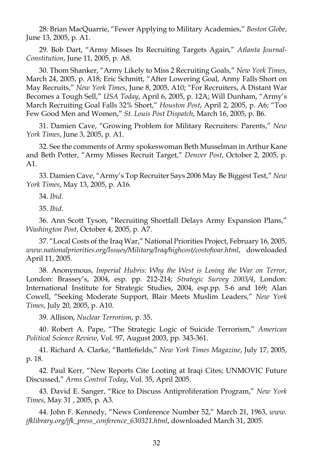28. Brian MacQuarrie, "Fewer Applying to Military Academies," *Boston Globe*, June 13, 2005, p. A1.

29. Bob Dart, "Army Misses Its Recruiting Targets Again," *Atlanta Journal-Constitution*, June 11, 2005, p. A8.

30. Thom Shanker, "Army Likely to Miss 2 Recruiting Goals," *New York Times*, March 24, 2005, p. A18; Eric Schmitt, "After Lowering Goal, Army Falls Short on May Recruits," *New York Times*, June 8, 2005, A10; "For Recruiters, A Distant War Becomes a Tough Sell," *USA Today*, April 6, 2005, p. 12A; Will Dunham, "Army's March Recruiting Goal Falls 32% Short," *Houston Post*, April 2, 2005, p. A6; "Too Few Good Men and Women," *St. Louis Post Dispatch*, March 16, 2005, p. B6.

31. Damien Cave, "Growing Problem for Military Recruiters: Parents," *New York Times*, June 3, 2005, p. A1.

32. See the comments of Army spokeswoman Beth Musselman in Arthur Kane and Beth Potter, "Army Misses Recruit Target," *Denver Post*, October 2, 2005, p. A1.

33. Damien Cave, "Army's Top Recruiter Says 2006 May Be Biggest Test," *New York Times*, May 13, 2005, p. A16.

34. *Ibid*.

35. *Ibid*.

36. Ann Scott Tyson, "Recruiting Shortfall Delays Army Expansion Plans," *Washington Post*, October 4, 2005, p. A7.

37. "Local Costs of the Iraq War," National Priorities Project, February 16, 2005, *www.nationalpriorities.org/Issues/Military/Iraq/highcost/costofwar.html*, downloaded April 11, 2005.

38. Anonymous, *Imperial Hubris: Why the West is Losing the War on Terror*, London: Brassey's, 2004, esp. pp. 212-214; *Strategic Survey 2003/4*, London: International Institute for Strategic Studies, 2004, esp.pp. 5-6 and 169; Alan Cowell, "Seeking Moderate Support, Blair Meets Muslim Leaders," *New York Times*, July 20, 2005, p. A10.

39. Allison, *Nuclear Terrorism*, p. 35.

40. Robert A. Pape, "The Strategic Logic of Suicide Terrorism," *American Political Science Review*, Vol. 97, August 2003, pp. 343-361.

41. Richard A. Clarke, "Battlefields," *New York Times Magazine*, July 17, 2005, p. 18.

42. Paul Kerr, "New Reports Cite Looting at Iraqi Cites; UNMOVIC Future Discussed," *Arms Control Today*, Vol. 35, April 2005.

43. David E. Sanger, "Rice to Discuss Antiproliferation Program," *New York Times*, May 31 , 2005, p. A3.

44. John F. Kennedy, "News Conference Number 52," March 21, 1963, *www. jfklibrary.org/jfk\_press\_conference\_630321.html*, downloaded March 31, 2005.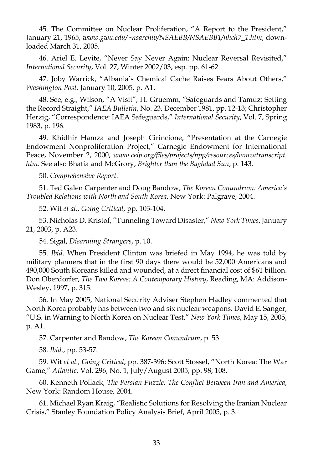45. The Committee on Nuclear Proliferation, "A Report to the President," January 21, 1965, *www.gwu.edu/~nsarchiv/NSAEBB/NSAEBB1/nhch7\_1.htm*, downloaded March 31, 2005.

46. Ariel E. Levite, "Never Say Never Again: Nuclear Reversal Revisited," *International Security*, Vol. 27, Winter 2002/03, esp. pp. 61-62.

47. Joby Warrick, "Albania's Chemical Cache Raises Fears About Others," *Washington Post*, January 10, 2005, p. A1.

48. See, e.g., Wilson, "A Visit"; H. Gruemm, "Safeguards and Tamuz: Setting the Record Straight," *IAEA Bulletin*, No. 23, December 1981, pp. 12-13; Christopher Herzig, "Correspondence: IAEA Safeguards," *International Security*, Vol. 7, Spring 1983, p. 196.

49. Khidhir Hamza and Joseph Cirincione, "Presentation at the Carnegie Endowment Nonproliferation Project," Carnegie Endowment for International Peace, November 2, 2000, *www.ceip.org/files/projects/npp/resources/hamzatranscript. htm*. See also Bhatia and McGrory, *Brighter than the Baghdad Sun*, p. 143.

50. *Comprehensive Report*.

51. Ted Galen Carpenter and Doug Bandow, *The Korean Conundrum: America's Troubled Relations with North and South Korea*, New York: Palgrave, 2004.

52. Wit *et al.*, *Going Critical*, pp. 103-104.

53. Nicholas D. Kristof, "Tunneling Toward Disaster," *New York Times*, January 21, 2003, p. A23.

54. Sigal, *Disarming Strangers*, p. 10.

55. *Ibid*. When President Clinton was briefed in May 1994, he was told by military planners that in the first 90 days there would be 52,000 Americans and 490,000 South Koreans killed and wounded, at a direct financial cost of \$61 billion. Don Oberdorfer, *The Two Koreas: A Contemporary History*, Reading, MA: Addison-Wesley, 1997, p. 315.

56. In May 2005, National Security Adviser Stephen Hadley commented that North Korea probably has between two and six nuclear weapons. David E. Sanger, "U.S. in Warning to North Korea on Nuclear Test," *New York Times*, May 15, 2005, p. A1.

57. Carpenter and Bandow, *The Korean Conundrum*, p. 53.

58. *Ibid*., pp. 53-57.

59. Wit *et al., Going Critical*, pp. 387-396; Scott Stossel, "North Korea: The War Game," *Atlantic*, Vol. 296, No. 1, July/August 2005, pp. 98, 108.

60. Kenneth Pollack, *The Persian Puzzle: The Conflict Between Iran and America*, New York: Random House, 2004.

61. Michael Ryan Kraig, "Realistic Solutions for Resolving the Iranian Nuclear Crisis," Stanley Foundation Policy Analysis Brief, April 2005, p. 3.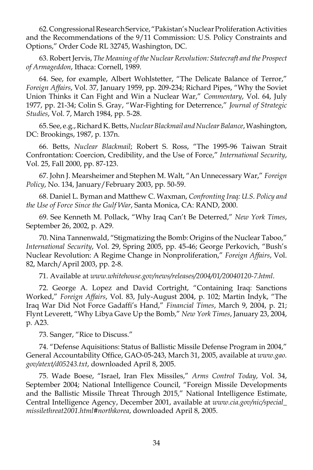62. Congressional Research Service, "Pakistan's Nuclear Proliferation Activities and the Recommendations of the 9/11 Commission: U.S. Policy Constraints and Options," Order Code RL 32745, Washington, DC.

63. Robert Jervis, *The Meaning of the Nuclear Revolution: Statecraft and the Prospect of Armageddon*, Ithaca: Cornell, 1989.

64. See, for example, Albert Wohlstetter, "The Delicate Balance of Terror," *Foreign Affairs*, Vol. 37, January 1959, pp. 209-234; Richard Pipes, "Why the Soviet Union Thinks it Can Fight and Win a Nuclear War," *Commentary*, Vol. 64, July 1977, pp. 21-34; Colin S. Gray, "War-Fighting for Deterrence," *Journal of Strategic Studies*, Vol. 7, March 1984, pp. 5-28.

65. See, e.g., Richard K. Betts, *Nuclear Blackmail and Nuclear Balance*, Washington, DC: Brookings, 1987, p. 137n.

66. Betts, *Nuclear Blackmail*; Robert S. Ross, "The 1995-96 Taiwan Strait Confrontation: Coercion, Credibility, and the Use of Force," *International Security*, Vol. 25, Fall 2000, pp. 87-123.

67. John J. Mearsheimer and Stephen M. Walt, "An Unnecessary War," *Foreign Policy*, No. 134, January/February 2003, pp. 50-59.

68. Daniel L. Byman and Matthew C. Waxman, *Confronting Iraq: U.S. Policy and the Use of Force Since the Gulf War*, Santa Monica, CA: RAND, 2000.

69. See Kenneth M. Pollack, "Why Iraq Can't Be Deterred," *New York Times*, September 26, 2002, p. A29.

70. Nina Tannenwald, "Stigmatizing the Bomb: Origins of the Nuclear Taboo," *International Security*, Vol. 29, Spring 2005, pp. 45-46; George Perkovich, "Bush's Nuclear Revolution: A Regime Change in Nonproliferation," *Foreign Affairs*, Vol. 82, March/April 2003, pp. 2-8.

71. Available at *www.whitehouse.gov/news/releases/2004/01/20040120-7.html*.

72. George A. Lopez and David Cortright, "Containing Iraq: Sanctions Worked," *Foreign Affairs*, Vol. 83, July-August 2004, p. 102; Martin Indyk, "The Iraq War Did Not Force Gadaffi's Hand," *Financial Times*, March 9, 2004, p. 21; Flynt Leverett, "Why Libya Gave Up the Bomb," *New York Times*, January 23, 2004, p. A23.

73. Sanger, "Rice to Discuss."

74. "Defense Aquisitions: Status of Ballistic Missile Defense Program in 2004," General Accountability Office, GAO-05-243, March 31, 2005, available at *www.gao. gov/atext/d05243.txt*, downloaded April 8, 2005.

75. Wade Boese, "Israel, Iran Flex Missiles," *Arms Control Today*, Vol. 34, September 2004; National Intelligence Council, "Foreign Missile Developments and the Ballistic Missile Threat Through 2015," National Intelligence Estimate, Central Intelligence Agency, December 2001, available at *www.cia.gov/nic/special\_ missilethreat2001.html#northkorea*, downloaded April 8, 2005.